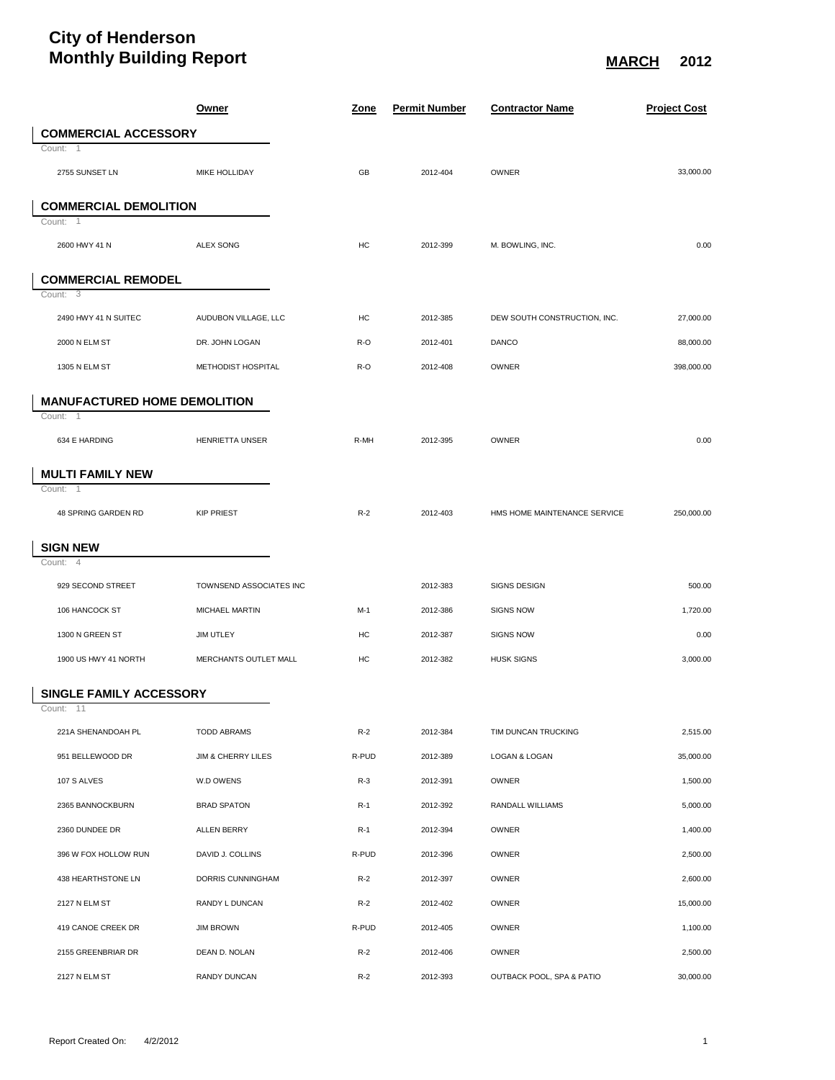## **City of Henderson Monthly Building Report** Monthly Building Report

|                                     | <b>Owner</b>            | <u>Zone</u> | <b>Permit Number</b> | <b>Contractor Name</b>    |                              | <b>Project Cost</b> |
|-------------------------------------|-------------------------|-------------|----------------------|---------------------------|------------------------------|---------------------|
| <b>COMMERCIAL ACCESSORY</b>         |                         |             |                      |                           |                              |                     |
| Count: 1                            |                         |             |                      |                           |                              |                     |
| 2755 SUNSET LN                      | MIKE HOLLIDAY           | GB          | 2012-404             | OWNER                     |                              | 33,000.00           |
| <b>COMMERCIAL DEMOLITION</b>        |                         |             |                      |                           |                              |                     |
| Count: 1                            |                         |             |                      |                           |                              |                     |
| 2600 HWY 41 N                       | <b>ALEX SONG</b>        | HC          | 2012-399             | M. BOWLING, INC.          |                              | 0.00                |
| <b>COMMERCIAL REMODEL</b>           |                         |             |                      |                           |                              |                     |
| Count: $3$                          |                         |             |                      |                           |                              |                     |
| 2490 HWY 41 N SUITEC                | AUDUBON VILLAGE, LLC    | HC          | 2012-385             |                           | DEW SOUTH CONSTRUCTION, INC. | 27,000.00           |
| 2000 N ELM ST                       | DR. JOHN LOGAN          | R-O         | 2012-401             | <b>DANCO</b>              |                              | 88,000.00           |
| 1305 N ELM ST                       | METHODIST HOSPITAL      | R-O         | 2012-408             | OWNER                     |                              | 398,000.00          |
| <b>MANUFACTURED HOME DEMOLITION</b> |                         |             |                      |                           |                              |                     |
| Count: 1                            |                         |             |                      |                           |                              |                     |
| 634 E HARDING                       | HENRIETTA UNSER         | R-MH        | 2012-395             | OWNER                     |                              | 0.00                |
| <b>MULTI FAMILY NEW</b>             |                         |             |                      |                           |                              |                     |
| Count:<br>$\overline{1}$            |                         |             |                      |                           |                              |                     |
| 48 SPRING GARDEN RD                 | <b>KIP PRIEST</b>       | $R-2$       | 2012-403             |                           | HMS HOME MAINTENANCE SERVICE | 250,000.00          |
| <b>SIGN NEW</b>                     |                         |             |                      |                           |                              |                     |
| Count:<br>$\overline{4}$            |                         |             |                      |                           |                              |                     |
| 929 SECOND STREET                   | TOWNSEND ASSOCIATES INC |             | 2012-383             | <b>SIGNS DESIGN</b>       |                              | 500.00              |
| 106 HANCOCK ST                      | MICHAEL MARTIN          | $M-1$       | 2012-386             | <b>SIGNS NOW</b>          |                              | 1,720.00            |
| 1300 N GREEN ST                     | JIM UTLEY               | HC          | 2012-387             | <b>SIGNS NOW</b>          |                              | 0.00                |
| 1900 US HWY 41 NORTH                | MERCHANTS OUTLET MALL   | HC          | 2012-382             | <b>HUSK SIGNS</b>         |                              | 3,000.00            |
| SINGLE FAMILY ACCESSORY             |                         |             |                      |                           |                              |                     |
| Count: 11                           |                         |             |                      |                           |                              |                     |
| 221A SHENANDOAH PL                  | <b>TODD ABRAMS</b>      | $R-2$       | 2012-384             | TIM DUNCAN TRUCKING       |                              | 2,515.00            |
| 951 BELLEWOOD DR                    | JIM & CHERRY LILES      | R-PUD       | 2012-389             | LOGAN & LOGAN             |                              | 35,000.00           |
| 107 S ALVES                         | W.D OWENS               | $R-3$       | 2012-391             | OWNER                     |                              | 1,500.00            |
| 2365 BANNOCKBURN                    | <b>BRAD SPATON</b>      | $R-1$       | 2012-392             | RANDALL WILLIAMS          |                              | 5,000.00            |
| 2360 DUNDEE DR                      | ALLEN BERRY             | $R-1$       | 2012-394             | OWNER                     |                              | 1,400.00            |
| 396 W FOX HOLLOW RUN                | DAVID J. COLLINS        | R-PUD       | 2012-396             | OWNER                     |                              | 2,500.00            |
| 438 HEARTHSTONE LN                  | DORRIS CUNNINGHAM       | $R-2$       | 2012-397             | OWNER                     |                              | 2,600.00            |
| 2127 N ELM ST                       | RANDY L DUNCAN          | $R-2$       | 2012-402             | OWNER                     |                              | 15,000.00           |
| 419 CANOE CREEK DR                  | <b>JIM BROWN</b>        | R-PUD       | 2012-405             | OWNER                     |                              | 1,100.00            |
| 2155 GREENBRIAR DR                  | DEAN D. NOLAN           | $R-2$       | 2012-406             | OWNER                     |                              | 2,500.00            |
| 2127 N ELM ST                       | RANDY DUNCAN            | $R-2$       | 2012-393             | OUTBACK POOL, SPA & PATIO |                              | 30,000.00           |